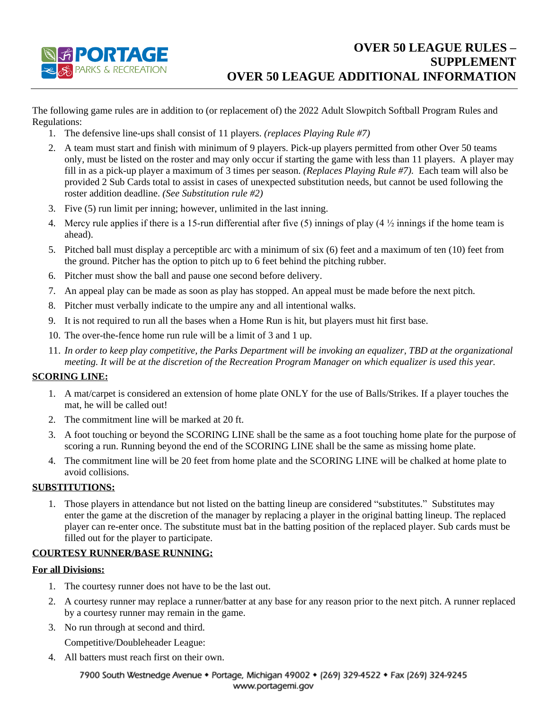

The following game rules are in addition to (or replacement of) the 2022 Adult Slowpitch Softball Program Rules and Regulations:

- 1. The defensive line-ups shall consist of 11 players. *(replaces Playing Rule #7)*
- 2. A team must start and finish with minimum of 9 players. Pick-up players permitted from other Over 50 teams only, must be listed on the roster and may only occur if starting the game with less than 11 players. A player may fill in as a pick-up player a maximum of 3 times per season. *(Replaces Playing Rule #7).* Each team will also be provided 2 Sub Cards total to assist in cases of unexpected substitution needs, but cannot be used following the roster addition deadline. *(See Substitution rule #2)*
- 3. Five (5) run limit per inning; however, unlimited in the last inning.
- 4. Mercy rule applies if there is a 15-run differential after five (5) innings of play (4  $\frac{1}{2}$  innings if the home team is ahead).
- 5. Pitched ball must display a perceptible arc with a minimum of six (6) feet and a maximum of ten (10) feet from the ground. Pitcher has the option to pitch up to 6 feet behind the pitching rubber.
- 6. Pitcher must show the ball and pause one second before delivery.
- 7. An appeal play can be made as soon as play has stopped. An appeal must be made before the next pitch.
- 8. Pitcher must verbally indicate to the umpire any and all intentional walks.
- 9. It is not required to run all the bases when a Home Run is hit, but players must hit first base.
- 10. The over-the-fence home run rule will be a limit of 3 and 1 up.
- 11. *In order to keep play competitive, the Parks Department will be invoking an equalizer, TBD at the organizational meeting. It will be at the discretion of the Recreation Program Manager on which equalizer is used this year.*

### **SCORING LINE:**

- 1. A mat/carpet is considered an extension of home plate ONLY for the use of Balls/Strikes. If a player touches the mat, he will be called out!
- 2. The commitment line will be marked at 20 ft.
- 3. A foot touching or beyond the SCORING LINE shall be the same as a foot touching home plate for the purpose of scoring a run. Running beyond the end of the SCORING LINE shall be the same as missing home plate.
- 4. The commitment line will be 20 feet from home plate and the SCORING LINE will be chalked at home plate to avoid collisions.

### **SUBSTITUTIONS:**

1. Those players in attendance but not listed on the batting lineup are considered "substitutes." Substitutes may enter the game at the discretion of the manager by replacing a player in the original batting lineup. The replaced player can re-enter once. The substitute must bat in the batting position of the replaced player. Sub cards must be filled out for the player to participate.

## **COURTESY RUNNER/BASE RUNNING:**

#### **For all Divisions:**

- 1. The courtesy runner does not have to be the last out.
- 2. A courtesy runner may replace a runner/batter at any base for any reason prior to the next pitch. A runner replaced by a courtesy runner may remain in the game.
- 3. No run through at second and third.

Competitive/Doubleheader League:

4. All batters must reach first on their own.

#### 7900 South Westnedge Avenue • Portage, Michigan 49002 • (269) 329-4522 • Fax (269) 324-9245 www.portagemi.gov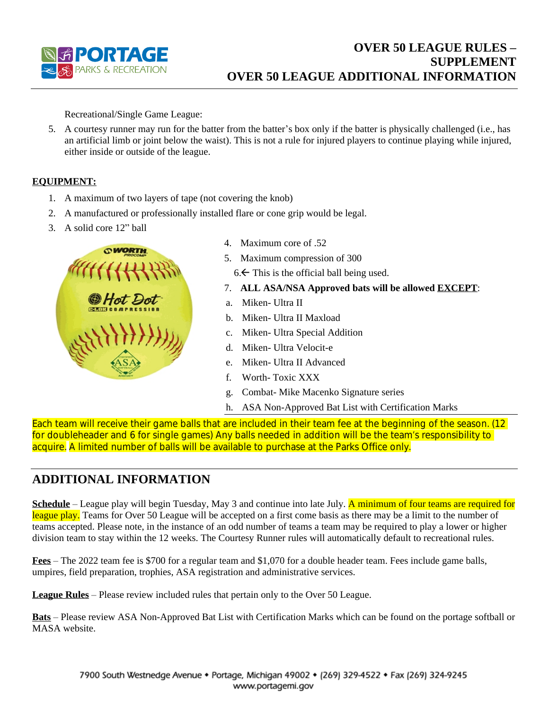

Recreational/Single Game League:

5. A courtesy runner may run for the batter from the batter's box only if the batter is physically challenged (i.e., has an artificial limb or joint below the waist). This is not a rule for injured players to continue playing while injured, either inside or outside of the league.

## **EQUIPMENT:**

- 1. A maximum of two layers of tape (not covering the knob)
- 2. A manufactured or professionally installed flare or cone grip would be legal.
- 3. A solid core 12" ball



- 4. Maximum core of .52
- 5. Maximum compression of 300
	- $6.$  This is the official ball being used.
- 7. **ALL ASA/NSA Approved bats will be allowed EXCEPT**:
- a. Miken- Ultra II
- b. Miken- Ultra II Maxload
- c. Miken- Ultra Special Addition
- d. Miken- Ultra Velocit-e
- e. Miken- Ultra II Advanced
- f. Worth- Toxic XXX
- g. Combat- Mike Macenko Signature series
- h. ASA Non-Approved Bat List with Certification Marks

Each team will receive their game balls that are included in their team fee at the beginning of the season. (12 for doubleheader and 6 for single games) Any balls needed in addition will be the team's responsibility to acquire. A limited number of balls will be available to purchase at the Parks Office only.

# **ADDITIONAL INFORMATION**

**Schedule** – League play will begin Tuesday, May 3 and continue into late July. A minimum of four teams are required for league play. Teams for Over 50 League will be accepted on a first come basis as there may be a limit to the number of teams accepted. Please note, in the instance of an odd number of teams a team may be required to play a lower or higher division team to stay within the 12 weeks. The Courtesy Runner rules will automatically default to recreational rules.

**Fees** – The 2022 team fee is \$700 for a regular team and \$1,070 for a double header team. Fees include game balls, umpires, field preparation, trophies, ASA registration and administrative services.

**League Rules** – Please review included rules that pertain only to the Over 50 League.

**Bats** – Please review ASA Non-Approved Bat List with Certification Marks which can be found on the portage softball or MASA website.